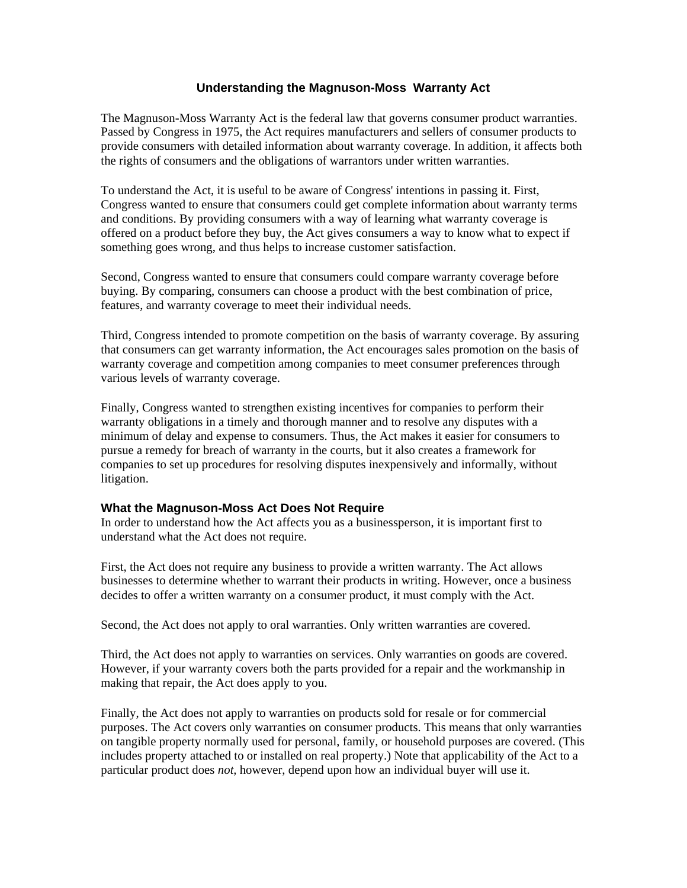## **Understanding the Magnuson-Moss Warranty Act**

The Magnuson-Moss Warranty Act is the federal law that governs consumer product warranties. Passed by Congress in 1975, the Act requires manufacturers and sellers of consumer products to provide consumers with detailed information about warranty coverage. In addition, it affects both the rights of consumers and the obligations of warrantors under written warranties.

To understand the Act, it is useful to be aware of Congress' intentions in passing it. First, Congress wanted to ensure that consumers could get complete information about warranty terms and conditions. By providing consumers with a way of learning what warranty coverage is offered on a product before they buy, the Act gives consumers a way to know what to expect if something goes wrong, and thus helps to increase customer satisfaction.

Second, Congress wanted to ensure that consumers could compare warranty coverage before buying. By comparing, consumers can choose a product with the best combination of price, features, and warranty coverage to meet their individual needs.

Third, Congress intended to promote competition on the basis of warranty coverage. By assuring that consumers can get warranty information, the Act encourages sales promotion on the basis of warranty coverage and competition among companies to meet consumer preferences through various levels of warranty coverage.

Finally, Congress wanted to strengthen existing incentives for companies to perform their warranty obligations in a timely and thorough manner and to resolve any disputes with a minimum of delay and expense to consumers. Thus, the Act makes it easier for consumers to pursue a remedy for breach of warranty in the courts, but it also creates a framework for companies to set up procedures for resolving disputes inexpensively and informally, without litigation.

## **What the Magnuson-Moss Act Does Not Require**

In order to understand how the Act affects you as a businessperson, it is important first to understand what the Act does not require.

First, the Act does not require any business to provide a written warranty. The Act allows businesses to determine whether to warrant their products in writing. However, once a business decides to offer a written warranty on a consumer product, it must comply with the Act.

Second, the Act does not apply to oral warranties. Only written warranties are covered.

Third, the Act does not apply to warranties on services. Only warranties on goods are covered. However, if your warranty covers both the parts provided for a repair and the workmanship in making that repair, the Act does apply to you.

Finally, the Act does not apply to warranties on products sold for resale or for commercial purposes. The Act covers only warranties on consumer products. This means that only warranties on tangible property normally used for personal, family, or household purposes are covered. (This includes property attached to or installed on real property.) Note that applicability of the Act to a particular product does *not,* however, depend upon how an individual buyer will use it.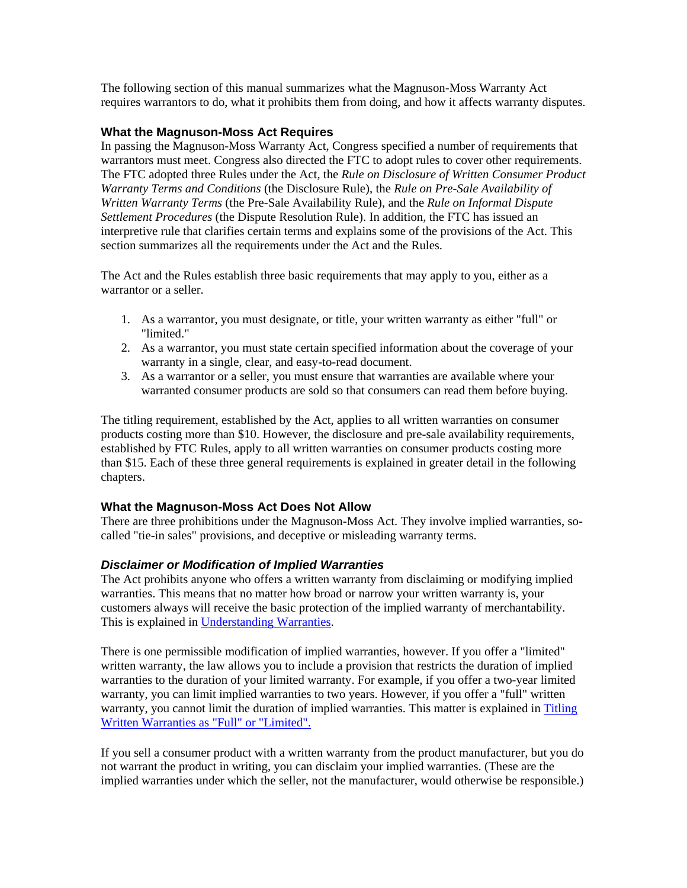The following section of this manual summarizes what the Magnuson-Moss Warranty Act requires warrantors to do, what it prohibits them from doing, and how it affects warranty disputes.

## **What the Magnuson-Moss Act Requires**

In passing the Magnuson-Moss Warranty Act, Congress specified a number of requirements that warrantors must meet. Congress also directed the FTC to adopt rules to cover other requirements. The FTC adopted three Rules under the Act, the *Rule on Disclosure of Written Consumer Product Warranty Terms and Conditions* (the Disclosure Rule), the *Rule on Pre-Sale Availability of Written Warranty Terms* (the Pre-Sale Availability Rule), and the *Rule on Informal Dispute Settlement Procedures* (the Dispute Resolution Rule). In addition, the FTC has issued an interpretive rule that clarifies certain terms and explains some of the provisions of the Act. This section summarizes all the requirements under the Act and the Rules.

The Act and the Rules establish three basic requirements that may apply to you, either as a warrantor or a seller.

- 1. As a warrantor, you must designate, or title, your written warranty as either "full" or "limited."
- 2. As a warrantor, you must state certain specified information about the coverage of your warranty in a single, clear, and easy-to-read document.
- 3. As a warrantor or a seller, you must ensure that warranties are available where your warranted consumer products are sold so that consumers can read them before buying.

The titling requirement, established by the Act, applies to all written warranties on consumer products costing more than \$10. However, the disclosure and pre-sale availability requirements, established by FTC Rules, apply to all written warranties on consumer products costing more than \$15. Each of these three general requirements is explained in greater detail in the following chapters.

## **What the Magnuson-Moss Act Does Not Allow**

There are three prohibitions under the Magnuson-Moss Act. They involve implied warranties, socalled "tie-in sales" provisions, and deceptive or misleading warranty terms.

## *Disclaimer or Modification of Implied Warranties*

The Act prohibits anyone who offers a written warranty from disclaiming or modifying implied warranties. This means that no matter how broad or narrow your written warranty is, your customers always will receive the basic protection of the implied warranty of merchantability. This is explained in [Understanding Warranties.](http://www.ftc.gov/bcp/conline/pubs/buspubs/warranty.htm#understanding#understanding)

There is one permissible modification of implied warranties, however. If you offer a "limited" written warranty, the law allows you to include a provision that restricts the duration of implied warranties to the duration of your limited warranty. For example, if you offer a two-year limited warranty, you can limit implied warranties to two years. However, if you offer a "full" written warranty, you cannot limit the duration of implied warranties. This matter is explained in Titling [Written Warranties as "Full" or "Limited".](http://www.ftc.gov/bcp/conline/pubs/buspubs/warranty.htm#titling#titling)

If you sell a consumer product with a written warranty from the product manufacturer, but you do not warrant the product in writing, you can disclaim your implied warranties. (These are the implied warranties under which the seller, not the manufacturer, would otherwise be responsible.)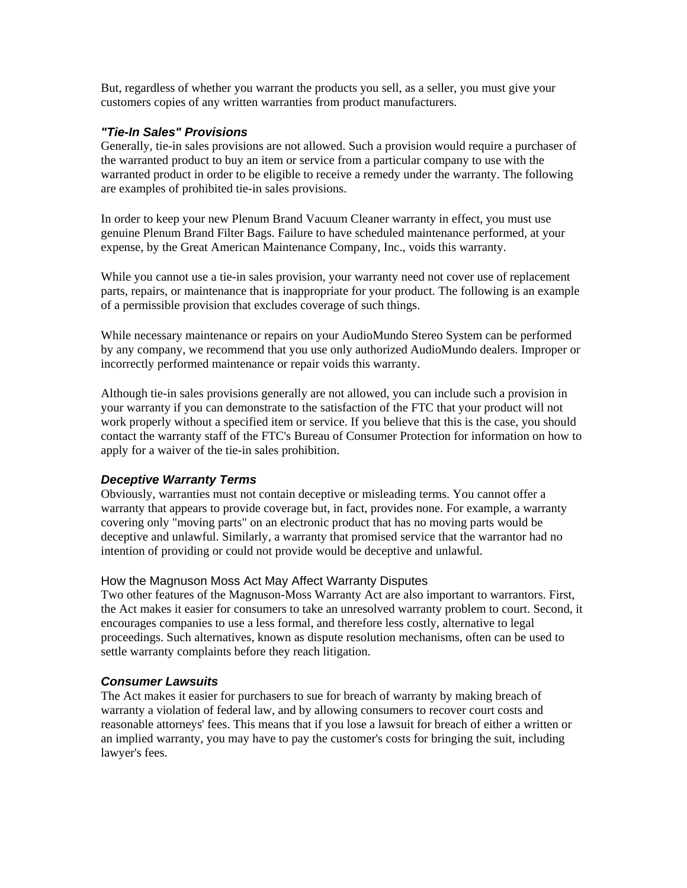But, regardless of whether you warrant the products you sell, as a seller, you must give your customers copies of any written warranties from product manufacturers.

#### *"Tie-In Sales" Provisions*

Generally, tie-in sales provisions are not allowed. Such a provision would require a purchaser of the warranted product to buy an item or service from a particular company to use with the warranted product in order to be eligible to receive a remedy under the warranty. The following are examples of prohibited tie-in sales provisions.

In order to keep your new Plenum Brand Vacuum Cleaner warranty in effect, you must use genuine Plenum Brand Filter Bags. Failure to have scheduled maintenance performed, at your expense, by the Great American Maintenance Company, Inc., voids this warranty.

While you cannot use a tie-in sales provision, your warranty need not cover use of replacement parts, repairs, or maintenance that is inappropriate for your product. The following is an example of a permissible provision that excludes coverage of such things.

While necessary maintenance or repairs on your AudioMundo Stereo System can be performed by any company, we recommend that you use only authorized AudioMundo dealers. Improper or incorrectly performed maintenance or repair voids this warranty.

Although tie-in sales provisions generally are not allowed, you can include such a provision in your warranty if you can demonstrate to the satisfaction of the FTC that your product will not work properly without a specified item or service. If you believe that this is the case, you should contact the warranty staff of the FTC's Bureau of Consumer Protection for information on how to apply for a waiver of the tie-in sales prohibition.

## *Deceptive Warranty Terms*

Obviously, warranties must not contain deceptive or misleading terms. You cannot offer a warranty that appears to provide coverage but, in fact, provides none. For example, a warranty covering only "moving parts" on an electronic product that has no moving parts would be deceptive and unlawful. Similarly, a warranty that promised service that the warrantor had no intention of providing or could not provide would be deceptive and unlawful.

#### How the Magnuson Moss Act May Affect Warranty Disputes

Two other features of the Magnuson-Moss Warranty Act are also important to warrantors. First, the Act makes it easier for consumers to take an unresolved warranty problem to court. Second, it encourages companies to use a less formal, and therefore less costly, alternative to legal proceedings. Such alternatives, known as dispute resolution mechanisms, often can be used to settle warranty complaints before they reach litigation.

#### *Consumer Lawsuits*

The Act makes it easier for purchasers to sue for breach of warranty by making breach of warranty a violation of federal law, and by allowing consumers to recover court costs and reasonable attorneys' fees. This means that if you lose a lawsuit for breach of either a written or an implied warranty, you may have to pay the customer's costs for bringing the suit, including lawyer's fees.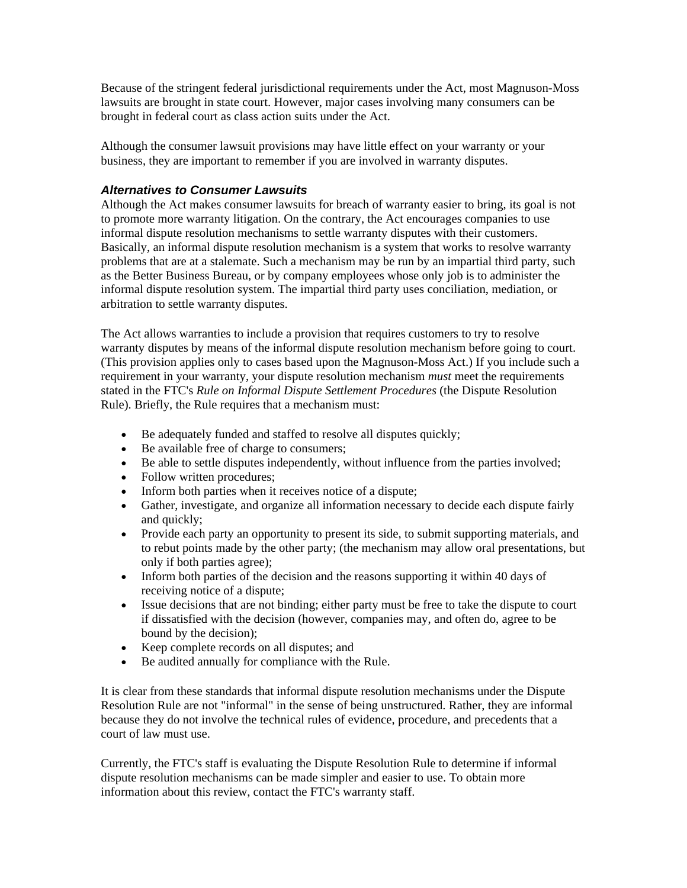Because of the stringent federal jurisdictional requirements under the Act, most Magnuson-Moss lawsuits are brought in state court. However, major cases involving many consumers can be brought in federal court as class action suits under the Act.

Although the consumer lawsuit provisions may have little effect on your warranty or your business, they are important to remember if you are involved in warranty disputes.

## *Alternatives to Consumer Lawsuits*

Although the Act makes consumer lawsuits for breach of warranty easier to bring, its goal is not to promote more warranty litigation. On the contrary, the Act encourages companies to use informal dispute resolution mechanisms to settle warranty disputes with their customers. Basically, an informal dispute resolution mechanism is a system that works to resolve warranty problems that are at a stalemate. Such a mechanism may be run by an impartial third party, such as the Better Business Bureau, or by company employees whose only job is to administer the informal dispute resolution system. The impartial third party uses conciliation, mediation, or arbitration to settle warranty disputes.

The Act allows warranties to include a provision that requires customers to try to resolve warranty disputes by means of the informal dispute resolution mechanism before going to court. (This provision applies only to cases based upon the Magnuson-Moss Act.) If you include such a requirement in your warranty, your dispute resolution mechanism *must* meet the requirements stated in the FTC's *Rule on Informal Dispute Settlement Procedures* (the Dispute Resolution Rule). Briefly, the Rule requires that a mechanism must:

- Be adequately funded and staffed to resolve all disputes quickly;
- Be available free of charge to consumers;
- Be able to settle disputes independently, without influence from the parties involved;
- Follow written procedures;
- Inform both parties when it receives notice of a dispute;
- Gather, investigate, and organize all information necessary to decide each dispute fairly and quickly;
- Provide each party an opportunity to present its side, to submit supporting materials, and to rebut points made by the other party; (the mechanism may allow oral presentations, but only if both parties agree);
- Inform both parties of the decision and the reasons supporting it within 40 days of receiving notice of a dispute;
- Issue decisions that are not binding; either party must be free to take the dispute to court if dissatisfied with the decision (however, companies may, and often do, agree to be bound by the decision);
- Keep complete records on all disputes; and
- Be audited annually for compliance with the Rule.

It is clear from these standards that informal dispute resolution mechanisms under the Dispute Resolution Rule are not "informal" in the sense of being unstructured. Rather, they are informal because they do not involve the technical rules of evidence, procedure, and precedents that a court of law must use.

Currently, the FTC's staff is evaluating the Dispute Resolution Rule to determine if informal dispute resolution mechanisms can be made simpler and easier to use. To obtain more information about this review, contact the FTC's warranty staff.